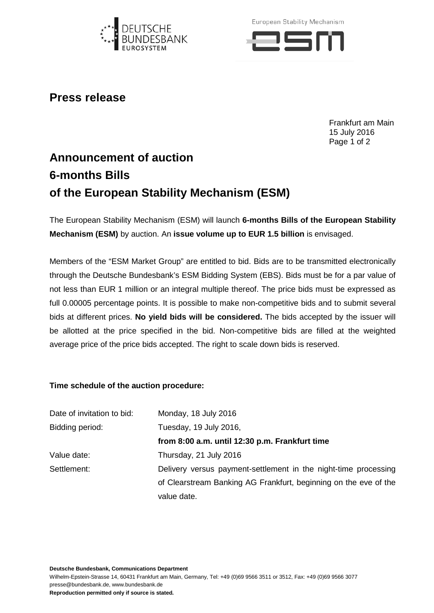

European Stability Mechanism



## **Press release**

Frankfurt am Main 15 July 2016 Page 1 of 2

## **Announcement of auction 6-months Bills of the European Stability Mechanism (ESM)**

The European Stability Mechanism (ESM) will launch **6-months Bills of the European Stability Mechanism (ESM)** by auction. An **issue volume up to EUR 1.5 billion** is envisaged.

Members of the "ESM Market Group" are entitled to bid. Bids are to be transmitted electronically through the Deutsche Bundesbank's ESM Bidding System (EBS). Bids must be for a par value of not less than EUR 1 million or an integral multiple thereof. The price bids must be expressed as full 0.00005 percentage points. It is possible to make non-competitive bids and to submit several bids at different prices. **No yield bids will be considered.** The bids accepted by the issuer will be allotted at the price specified in the bid. Non-competitive bids are filled at the weighted average price of the price bids accepted. The right to scale down bids is reserved.

## **Time schedule of the auction procedure:**

| Date of invitation to bid: | Monday, 18 July 2016                                             |
|----------------------------|------------------------------------------------------------------|
| Bidding period:            | Tuesday, 19 July 2016,                                           |
|                            | from 8:00 a.m. until 12:30 p.m. Frankfurt time                   |
| Value date:                | Thursday, 21 July 2016                                           |
| Settlement:                | Delivery versus payment-settlement in the night-time processing  |
|                            | of Clearstream Banking AG Frankfurt, beginning on the eve of the |
|                            | value date.                                                      |

**Deutsche Bundesbank, Communications Department**

Wilhelm-Epstein-Strasse 14, 60431 Frankfurt am Main, Germany, Tel: +49 (0)69 9566 3511 or 3512, Fax: +49 (0)69 9566 3077 presse@bundesbank.de, www.bundesbank.de

**Reproduction permitted only if source is stated.**